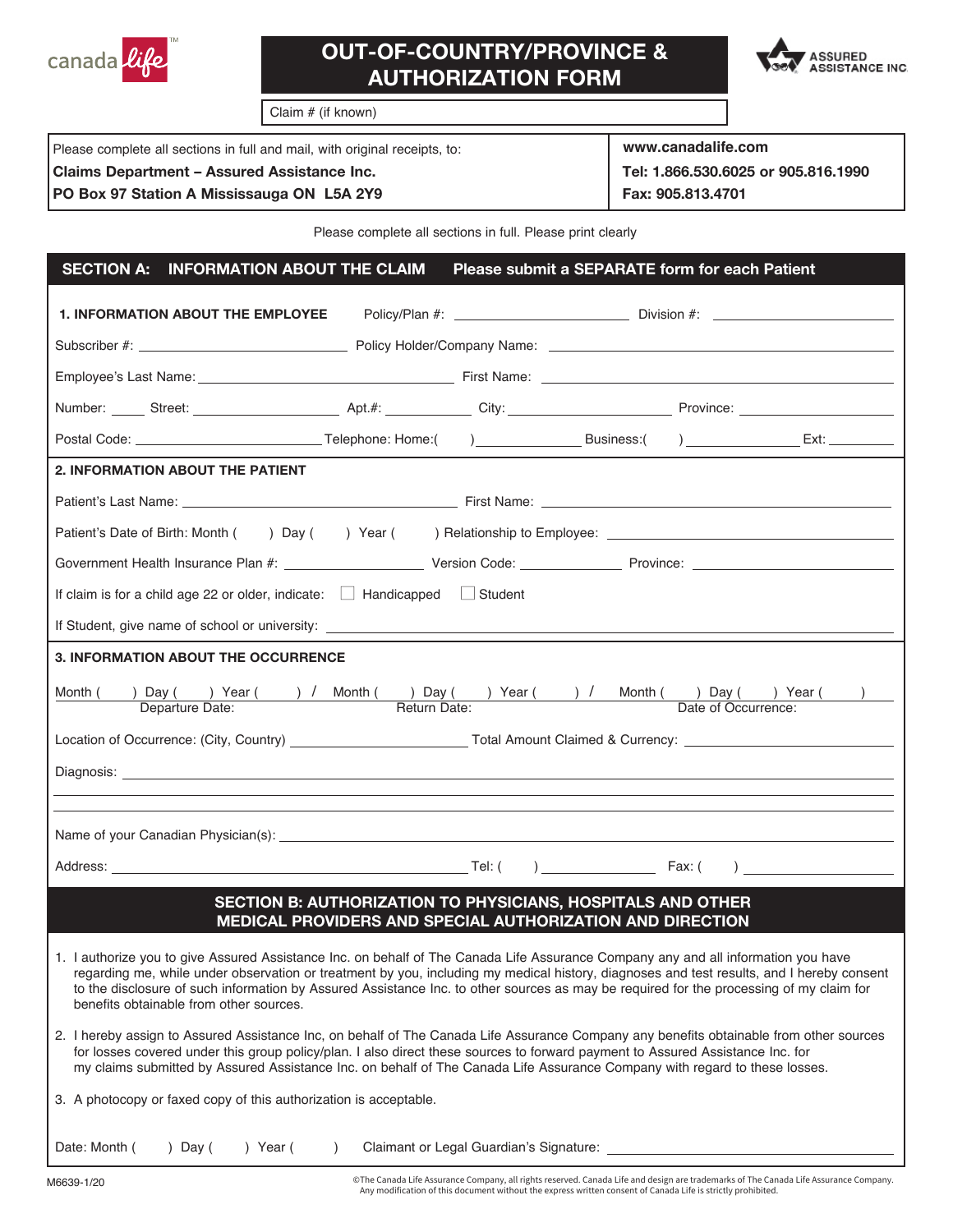

## **OUT-OF-COUNTRY/PROVINCE & AUTHORIZATION FORM**



Claim # (if known)

| Please complete all sections in full and mail, with original receipts, to: | www.canadalife.com                  |
|----------------------------------------------------------------------------|-------------------------------------|
| <b>Claims Department - Assured Assistance Inc.</b>                         | Tel: 1.866.530.6025 or 905.816.1990 |
| PO Box 97 Station A Mississauga ON L5A 2Y9                                 | Fax: 905.813.4701                   |

Please complete all sections in full. Please print clearly

## **1. INFORMATION ABOUT THE EMPLOYEE** Policy/Plan #: \_\_\_\_\_\_\_\_\_\_\_\_\_\_\_\_\_\_\_\_\_\_\_\_\_\_\_\_\_\_\_ Division #: Subscriber #: Policy Holder/Company Name: Employee's Last Name: The Contract of the Employee's Last Name: Number: Street: Street: Apt.#: City: City: Province: Postal Code: Telephone: Home:( ) Business:( ) Ext: Patient's Last Name: First Name: Patient's Date of Birth: Month ( ) Day ( ) Year ( ) Relationship to Employee: Government Health Insurance Plan #: \_\_\_\_\_\_\_\_\_\_\_\_\_\_\_\_\_\_\_\_\_\_\_\_\_Version Code: \_\_\_\_\_\_\_\_\_\_\_\_\_\_\_\_\_\_\_\_\_\_\_\_\_\_\_\_\_\_\_\_\_\_\_ If claim is for a child age 22 or older, indicate:  $\Box$  Handicapped  $\Box$  Student If Student, give name of school or university: Month ( ) Day ( ) Year ( ) / Month ( ) Day ( ) Year ( ) / Month ( ) Day ( ) Year ( ) ) Departure Date: Departure Date: Date of Occurrence: Date of Occurrence: Location of Occurrence: (City, Country) Total Amount Claimed & Currency: Diagnosis: Name of your Canadian Physician(s): Name of your Canadian Physician(s): Address: Fax: ( ) Fax: ( ) Fax: ( ) Fax: ( ) Fax: ( ) Fax: ( ) Fax: ( ) Fax: ( ) Fax: ( ) Fax: ( )  $\overline{\phantom{a}}$ Date: Month ( ) Day ( ) Year ( ) Claimant or Legal Guardian's Signature: **SECTION A: INFORMATION ABOUT THE CLAIM Please submit a SEPARATE form for each Patient 2. INFORMATION ABOUT THE PATIENT 3. INFORMATION ABOUT THE OCCURRENCE SECTION B: AUTHORIZATION TO PHYSICIANS, HOSPITALS AND OTHER MEDICAL PROVIDERS AND SPECIAL AUTHORIZATION AND DIRECTION**  1. I authorize you to give Assured Assistance Inc. on behalf of The Canada Life Assurance Company any and all information you have regarding me, while under observation or treatment by you, including my medical history, diagnoses and test results, and I hereby consent to the disclosure of such information by Assured Assistance Inc. to other sources as may be required for the processing of my claim for benefits obtainable from other sources. 2. I hereby assign to Assured Assistance Inc, on behalf of The Canada Life Assurance Company any benefits obtainable from other sources for losses covered under this group policy/plan. I also direct these sources to forward payment to Assured Assistance Inc. for my claims submitted by Assured Assistance Inc. on behalf of The Canada Life Assurance Company with regard to these losses. 3. A photocopy or faxed copy of this authorization is acceptable.

M6639-1/20 © The Canada Life Assurance Company, all rights reserved. Canada Life and design are trademarks of The Canada Life Assurance Company. Any modification of this document without the express written consent of Canada Life is strictly prohibited.